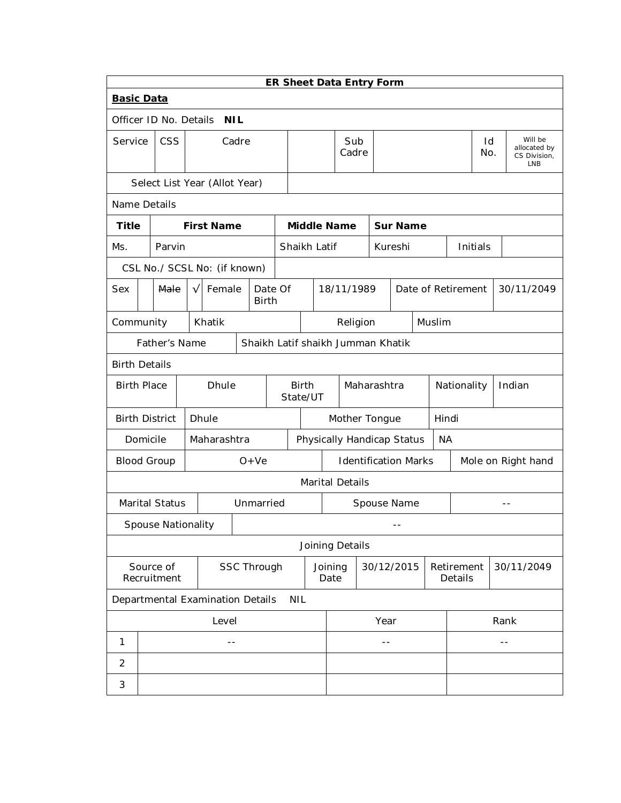|                                                    | ER Sheet Data Entry Form                                                                   |                           |  |  |                                  |                    |  |              |                                         |                 |                             |  |                 |                    |  |                       |           |       |                                                       |
|----------------------------------------------------|--------------------------------------------------------------------------------------------|---------------------------|--|--|----------------------------------|--------------------|--|--------------|-----------------------------------------|-----------------|-----------------------------|--|-----------------|--------------------|--|-----------------------|-----------|-------|-------------------------------------------------------|
| <b>Basic Data</b>                                  |                                                                                            |                           |  |  |                                  |                    |  |              |                                         |                 |                             |  |                 |                    |  |                       |           |       |                                                       |
| Officer ID No. Details<br><b>NIL</b>               |                                                                                            |                           |  |  |                                  |                    |  |              |                                         |                 |                             |  |                 |                    |  |                       |           |       |                                                       |
| Service                                            |                                                                                            | <b>CSS</b>                |  |  |                                  | Cadre              |  |              |                                         |                 | Sub<br>Cadre                |  |                 |                    |  |                       | Id<br>No. |       | Will be<br>allocated by<br>CS Division,<br><b>LNB</b> |
|                                                    |                                                                                            |                           |  |  | Select List Year (Allot Year)    |                    |  |              |                                         |                 |                             |  |                 |                    |  |                       |           |       |                                                       |
| Name Details                                       |                                                                                            |                           |  |  |                                  |                    |  |              |                                         |                 |                             |  |                 |                    |  |                       |           |       |                                                       |
| <b>Title</b>                                       |                                                                                            |                           |  |  | <b>First Name</b>                |                    |  |              | <b>Middle Name</b>                      |                 |                             |  | <b>Sur Name</b> |                    |  |                       |           |       |                                                       |
| Ms.                                                |                                                                                            | Parvin                    |  |  |                                  |                    |  | Shaikh Latif |                                         |                 |                             |  | Kureshi         |                    |  |                       | Initials  |       |                                                       |
|                                                    |                                                                                            |                           |  |  | CSL No./ SCSL No: (if known)     |                    |  |              |                                         |                 |                             |  |                 |                    |  |                       |           |       |                                                       |
| Sex                                                | Female<br>18/11/1989<br>Male<br>Date Of<br>Date of Retirement<br>$\sqrt{}$<br><b>Birth</b> |                           |  |  |                                  | 30/11/2049         |  |              |                                         |                 |                             |  |                 |                    |  |                       |           |       |                                                       |
|                                                    | Muslim<br>Community<br>Khatik<br>Religion                                                  |                           |  |  |                                  |                    |  |              |                                         |                 |                             |  |                 |                    |  |                       |           |       |                                                       |
| Shaikh Latif shaikh Jumman Khatik<br>Father's Name |                                                                                            |                           |  |  |                                  |                    |  |              |                                         |                 |                             |  |                 |                    |  |                       |           |       |                                                       |
| <b>Birth Details</b>                               |                                                                                            |                           |  |  |                                  |                    |  |              |                                         |                 |                             |  |                 |                    |  |                       |           |       |                                                       |
|                                                    | <b>Birth Place</b><br><b>Dhule</b>                                                         |                           |  |  | <b>Birth</b><br>State/UT         |                    |  | Maharashtra  |                                         |                 | Nationality                 |  |                 | Indian             |  |                       |           |       |                                                       |
| <b>Birth District</b>                              |                                                                                            |                           |  |  | Dhule                            |                    |  |              | Mother Tongue<br>Hindi                  |                 |                             |  |                 |                    |  |                       |           |       |                                                       |
|                                                    | Domicile                                                                                   |                           |  |  | Maharashtra                      |                    |  |              | Physically Handicap Status<br><b>NA</b> |                 |                             |  |                 |                    |  |                       |           |       |                                                       |
| <b>Blood Group</b>                                 |                                                                                            |                           |  |  |                                  | $O+Ve$             |  |              |                                         |                 | <b>Identification Marks</b> |  |                 | Mole on Right hand |  |                       |           |       |                                                       |
|                                                    |                                                                                            |                           |  |  |                                  |                    |  |              |                                         |                 | Marital Details             |  |                 |                    |  |                       |           |       |                                                       |
|                                                    |                                                                                            | Marital Status            |  |  |                                  | Unmarried          |  |              | Spouse Name                             |                 |                             |  | $ -$            |                    |  |                       |           |       |                                                       |
|                                                    |                                                                                            | <b>Spouse Nationality</b> |  |  |                                  |                    |  |              |                                         |                 |                             |  | --              |                    |  |                       |           |       |                                                       |
|                                                    |                                                                                            |                           |  |  |                                  |                    |  |              |                                         |                 | Joining Details             |  |                 |                    |  |                       |           |       |                                                       |
|                                                    |                                                                                            | Source of<br>Recruitment  |  |  |                                  | <b>SSC Through</b> |  |              |                                         | Joining<br>Date |                             |  | 30/12/2015      |                    |  | Retirement<br>Details |           |       | 30/11/2049                                            |
|                                                    |                                                                                            |                           |  |  | Departmental Examination Details |                    |  | <b>NIL</b>   |                                         |                 |                             |  |                 |                    |  |                       |           |       |                                                       |
|                                                    |                                                                                            |                           |  |  | Level                            |                    |  |              | Year                                    |                 |                             |  | Rank            |                    |  |                       |           |       |                                                       |
| 1                                                  |                                                                                            |                           |  |  | $-$                              |                    |  |              |                                         |                 |                             |  | $ -$            |                    |  |                       |           | $- -$ |                                                       |
| 2                                                  |                                                                                            |                           |  |  |                                  |                    |  |              |                                         |                 |                             |  |                 |                    |  |                       |           |       |                                                       |
| 3                                                  |                                                                                            |                           |  |  |                                  |                    |  |              |                                         |                 |                             |  |                 |                    |  |                       |           |       |                                                       |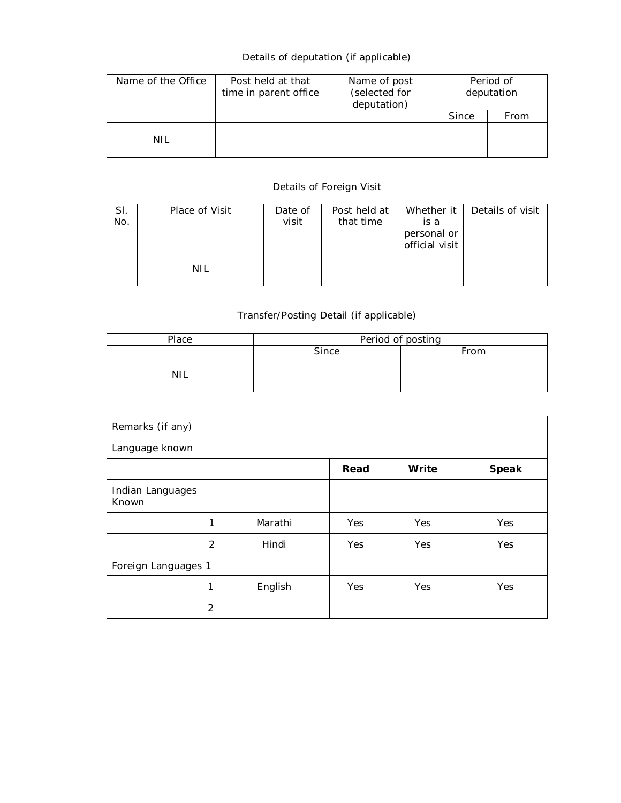# Details of deputation (if applicable)

| Name of the Office | Post held at that<br>time in parent office | Name of post<br>(selected for<br>deputation) | Period of<br>deputation |      |  |
|--------------------|--------------------------------------------|----------------------------------------------|-------------------------|------|--|
|                    |                                            |                                              | Since                   | From |  |
| NIL                |                                            |                                              |                         |      |  |

# Details of Foreign Visit

| SI.<br>No. | Place of Visit | Date of<br>visit | Post held at<br>that time | Whether it I<br>is a<br>personal or<br>official visit | Details of visit |
|------------|----------------|------------------|---------------------------|-------------------------------------------------------|------------------|
|            | NIL            |                  |                           |                                                       |                  |

# Transfer/Posting Detail (if applicable)

| Place | Period of posting |      |  |  |  |  |
|-------|-------------------|------|--|--|--|--|
|       | Since             | From |  |  |  |  |
| NIL   |                   |      |  |  |  |  |

| Remarks (if any)          |         |      |       |       |  |  |  |  |  |
|---------------------------|---------|------|-------|-------|--|--|--|--|--|
| Language known            |         |      |       |       |  |  |  |  |  |
|                           |         | Read | Write | Speak |  |  |  |  |  |
| Indian Languages<br>Known |         |      |       |       |  |  |  |  |  |
| 1                         | Marathi | Yes  | Yes   | Yes   |  |  |  |  |  |
| $\overline{2}$            | Hindi   | Yes  | Yes   | Yes   |  |  |  |  |  |
| Foreign Languages 1       |         |      |       |       |  |  |  |  |  |
| 1                         | English | Yes  | Yes   | Yes   |  |  |  |  |  |
| $\overline{2}$            |         |      |       |       |  |  |  |  |  |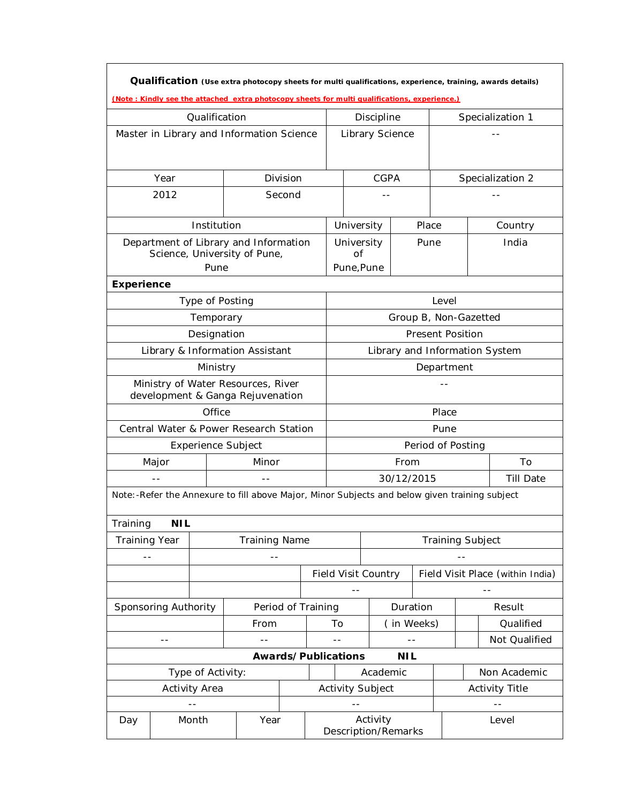|                                                                        |                      |                           | (Note: Kindly see the attached extra photocopy sheets for multi qualifications, experience.) |          |                    |                                                                                                                                  |             |                       |                         |                         |  | Qualification (Use extra photocopy sheets for multi qualifications, experience, training, awards details) |
|------------------------------------------------------------------------|----------------------|---------------------------|----------------------------------------------------------------------------------------------|----------|--------------------|----------------------------------------------------------------------------------------------------------------------------------|-------------|-----------------------|-------------------------|-------------------------|--|-----------------------------------------------------------------------------------------------------------|
|                                                                        |                      | Qualification             |                                                                                              |          |                    |                                                                                                                                  | Discipline  |                       |                         |                         |  | Specialization 1                                                                                          |
|                                                                        |                      |                           | Master in Library and Information Science                                                    |          |                    | Library Science                                                                                                                  |             |                       |                         |                         |  |                                                                                                           |
|                                                                        | Year                 |                           |                                                                                              | Division |                    |                                                                                                                                  | <b>CGPA</b> |                       |                         |                         |  | Specialization 2                                                                                          |
|                                                                        | 2012                 |                           |                                                                                              | Second   |                    |                                                                                                                                  |             |                       |                         |                         |  |                                                                                                           |
|                                                                        |                      | Institution               |                                                                                              |          |                    | University                                                                                                                       |             |                       | Place                   |                         |  | Country                                                                                                   |
|                                                                        |                      | Pune                      | Department of Library and Information<br>Science, University of Pune,                        |          |                    | University<br>Οf<br>Pune, Pune                                                                                                   |             |                       | Pune                    |                         |  | India                                                                                                     |
| Experience                                                             |                      |                           |                                                                                              |          |                    |                                                                                                                                  |             |                       |                         |                         |  |                                                                                                           |
|                                                                        |                      | Type of Posting           |                                                                                              |          |                    |                                                                                                                                  |             |                       |                         | Level                   |  |                                                                                                           |
|                                                                        |                      | Temporary                 |                                                                                              |          |                    |                                                                                                                                  |             | Group B, Non-Gazetted |                         |                         |  |                                                                                                           |
|                                                                        |                      | Designation               |                                                                                              |          |                    |                                                                                                                                  |             |                       | <b>Present Position</b> |                         |  |                                                                                                           |
| Library & Information Assistant                                        |                      |                           |                                                                                              |          |                    | Library and Information System                                                                                                   |             |                       |                         |                         |  |                                                                                                           |
| Ministry                                                               |                      |                           |                                                                                              |          |                    |                                                                                                                                  |             |                       | Department              |                         |  |                                                                                                           |
| Ministry of Water Resources, River<br>development & Ganga Rejuvenation |                      |                           |                                                                                              |          |                    |                                                                                                                                  |             |                       |                         |                         |  |                                                                                                           |
| Office                                                                 |                      |                           |                                                                                              |          |                    |                                                                                                                                  |             |                       |                         | Place                   |  |                                                                                                           |
|                                                                        |                      |                           | Central Water & Power Research Station                                                       |          |                    |                                                                                                                                  |             |                       |                         | Pune                    |  |                                                                                                           |
|                                                                        |                      | <b>Experience Subject</b> |                                                                                              |          |                    | Period of Posting                                                                                                                |             |                       |                         |                         |  |                                                                                                           |
|                                                                        | Major                |                           | Minor                                                                                        |          |                    | From                                                                                                                             |             |                       |                         | To                      |  |                                                                                                           |
|                                                                        |                      |                           |                                                                                              |          |                    | 30/12/2015<br><b>Till Date</b><br>Note: -Refer the Annexure to fill above Major, Minor Subjects and below given training subject |             |                       |                         |                         |  |                                                                                                           |
|                                                                        |                      |                           |                                                                                              |          |                    |                                                                                                                                  |             |                       |                         |                         |  |                                                                                                           |
| Training                                                               | <b>NIL</b>           |                           |                                                                                              |          |                    |                                                                                                                                  |             |                       |                         |                         |  |                                                                                                           |
| <b>Training Year</b>                                                   |                      |                           | <b>Training Name</b>                                                                         |          |                    |                                                                                                                                  |             |                       |                         | <b>Training Subject</b> |  |                                                                                                           |
| $ -$                                                                   |                      |                           | $ -$                                                                                         |          |                    |                                                                                                                                  |             |                       |                         |                         |  |                                                                                                           |
|                                                                        |                      |                           |                                                                                              |          |                    | <b>Field Visit Country</b><br>$- -$                                                                                              |             |                       |                         |                         |  | Field Visit Place (within India)<br>--                                                                    |
|                                                                        | Sponsoring Authority |                           |                                                                                              |          | Period of Training |                                                                                                                                  |             | Duration              |                         |                         |  | Result                                                                                                    |
|                                                                        |                      |                           | From                                                                                         |          |                    | To                                                                                                                               |             | (in Weeks)            |                         |                         |  | Qualified                                                                                                 |
|                                                                        | $- -$                |                           | $-$                                                                                          |          |                    | $- -$                                                                                                                            |             | $ -$                  |                         |                         |  | Not Qualified                                                                                             |
|                                                                        |                      |                           |                                                                                              |          |                    | Awards/Publications                                                                                                              |             | <b>NIL</b>            |                         |                         |  |                                                                                                           |
|                                                                        |                      | Type of Activity:         |                                                                                              |          |                    | Academic                                                                                                                         |             |                       | Non Academic            |                         |  |                                                                                                           |
|                                                                        |                      | Activity Area             |                                                                                              |          |                    | <b>Activity Subject</b>                                                                                                          |             |                       |                         | <b>Activity Title</b>   |  |                                                                                                           |
|                                                                        |                      | --                        |                                                                                              |          |                    |                                                                                                                                  |             |                       |                         |                         |  | $ -$                                                                                                      |
|                                                                        | Month<br>Year<br>Day |                           |                                                                                              |          |                    | Activity<br>Level<br>Description/Remarks                                                                                         |             |                       |                         |                         |  |                                                                                                           |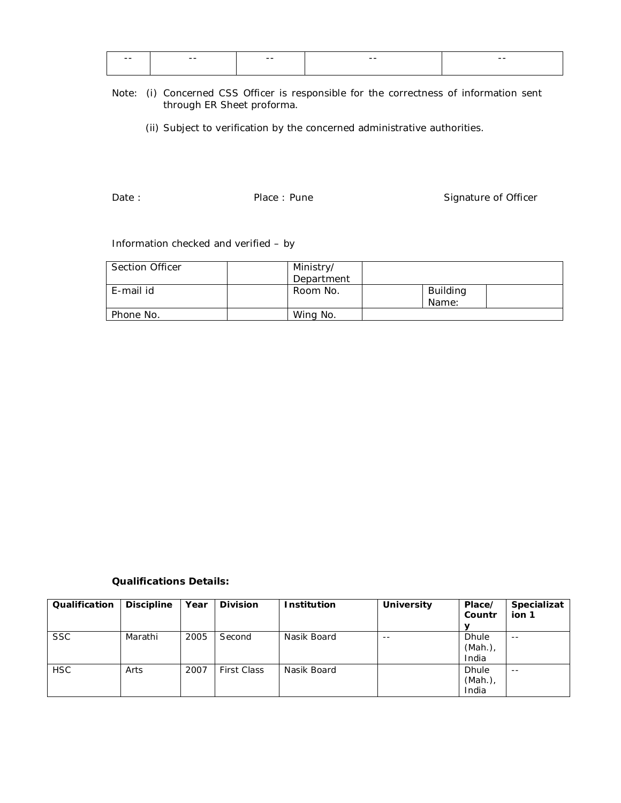| $- -$ | $- -$ | $- -$ | $- -$ | $- -$ |
|-------|-------|-------|-------|-------|
|       |       |       |       |       |
|       |       |       |       |       |

#### Note: (i) Concerned CSS Officer is responsible for the correctness of information sent through ER Sheet proforma.

(ii) Subject to verification by the concerned administrative authorities.

Date : Case : Pune Case : Pune Case Signature of Officer

### Information checked and verified – by

| Section Officer | Ministry/  |                          |  |
|-----------------|------------|--------------------------|--|
|                 | Department |                          |  |
| E-mail id       | Room No.   | <b>Building</b><br>Name: |  |
| Phone No.       | Wing No.   |                          |  |

### **Qualifications Details:**

| Qualification | <b>Discipline</b> | Year | <b>Division</b>    | <b>Institution</b> | <b>University</b> | Place/<br>Countr | Specializat<br>ion 1 |
|---------------|-------------------|------|--------------------|--------------------|-------------------|------------------|----------------------|
|               |                   |      |                    |                    |                   |                  |                      |
| <b>SSC</b>    | Marathi           | 2005 | Second             | Nasik Board        | $ -$              | <b>Dhule</b>     | $ -$                 |
|               |                   |      |                    |                    |                   | (Mah.)           |                      |
|               |                   |      |                    |                    |                   | India            |                      |
| <b>HSC</b>    | Arts              | 2007 | <b>First Class</b> | Nasik Board        |                   | <b>Dhule</b>     | $- -$                |
|               |                   |      |                    |                    |                   | (Mah.)           |                      |
|               |                   |      |                    |                    |                   | India            |                      |